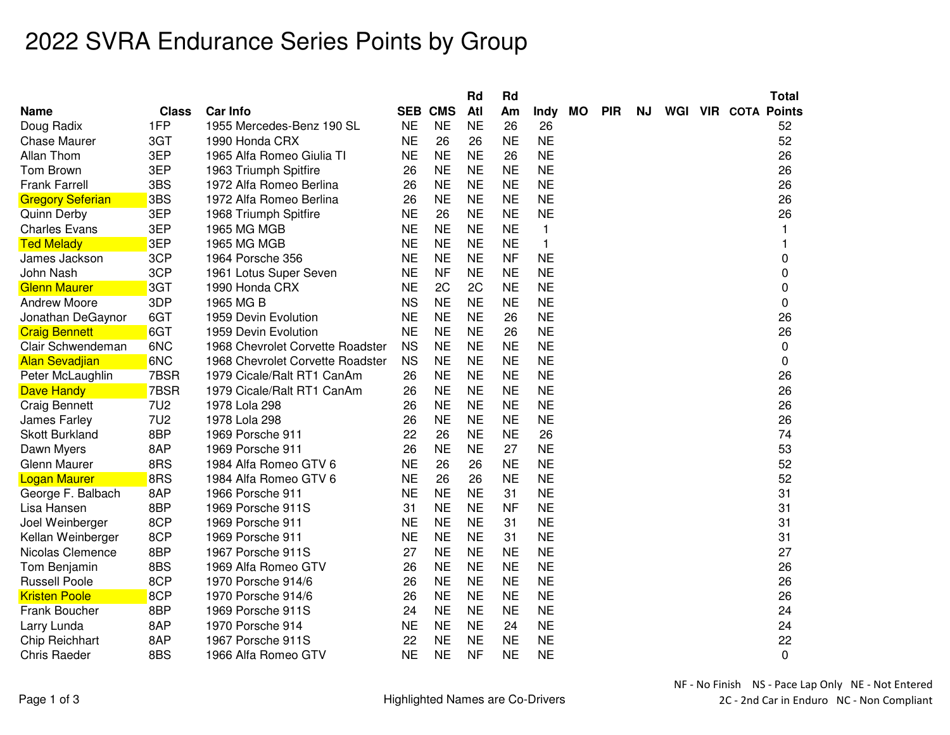## 2022 SVRA Endurance Series Points by Group

|                         |              |                                  |           |                | Rd        | Rd        |              |    |            |     |  | <b>Total</b>               |
|-------------------------|--------------|----------------------------------|-----------|----------------|-----------|-----------|--------------|----|------------|-----|--|----------------------------|
| Name                    | <b>Class</b> | <b>Car Info</b>                  |           | <b>SEB CMS</b> | Atl       | Am        | <b>Indy</b>  | МO | <b>PIR</b> | NJ. |  | <b>WGI VIR COTA Points</b> |
| Doug Radix              | 1FP          | 1955 Mercedes-Benz 190 SL        | <b>NE</b> | <b>NE</b>      | NE        | 26        | 26           |    |            |     |  | 52                         |
| <b>Chase Maurer</b>     | 3GT          | 1990 Honda CRX                   | <b>NE</b> | 26             | 26        | <b>NE</b> | <b>NE</b>    |    |            |     |  | 52                         |
| Allan Thom              | 3EP          | 1965 Alfa Romeo Giulia TI        | <b>NE</b> | <b>NE</b>      | <b>NE</b> | 26        | <b>NE</b>    |    |            |     |  | 26                         |
| Tom Brown               | 3EP          | 1963 Triumph Spitfire            | 26        | <b>NE</b>      | <b>NE</b> | <b>NE</b> | <b>NE</b>    |    |            |     |  | 26                         |
| <b>Frank Farrell</b>    | 3BS          | 1972 Alfa Romeo Berlina          | 26        | <b>NE</b>      | <b>NE</b> | <b>NE</b> | <b>NE</b>    |    |            |     |  | 26                         |
| <b>Gregory Seferian</b> | 3BS          | 1972 Alfa Romeo Berlina          | 26        | <b>NE</b>      | <b>NE</b> | <b>NE</b> | <b>NE</b>    |    |            |     |  | 26                         |
| <b>Quinn Derby</b>      | 3EP          | 1968 Triumph Spitfire            | <b>NE</b> | 26             | <b>NE</b> | <b>NE</b> | <b>NE</b>    |    |            |     |  | 26                         |
| <b>Charles Evans</b>    | 3EP          | 1965 MG MGB                      | <b>NE</b> | <b>NE</b>      | <b>NE</b> | <b>NE</b> | $\mathbf{1}$ |    |            |     |  | 1                          |
| <b>Ted Melady</b>       | 3EP          | <b>1965 MG MGB</b>               | <b>NE</b> | <b>NE</b>      | <b>NE</b> | <b>NE</b> | $\mathbf{1}$ |    |            |     |  | 1                          |
| James Jackson           | 3CP          | 1964 Porsche 356                 | <b>NE</b> | <b>NE</b>      | <b>NE</b> | <b>NF</b> | <b>NE</b>    |    |            |     |  | 0                          |
| John Nash               | 3CP          | 1961 Lotus Super Seven           | <b>NE</b> | <b>NF</b>      | <b>NE</b> | <b>NE</b> | <b>NE</b>    |    |            |     |  | 0                          |
| <b>Glenn Maurer</b>     | 3GT          | 1990 Honda CRX                   | <b>NE</b> | 2C             | 2C        | <b>NE</b> | <b>NE</b>    |    |            |     |  | 0                          |
| <b>Andrew Moore</b>     | 3DP          | 1965 MG B                        | <b>NS</b> | <b>NE</b>      | <b>NE</b> | <b>NE</b> | <b>NE</b>    |    |            |     |  | $\mathbf 0$                |
| Jonathan DeGaynor       | 6GT          | 1959 Devin Evolution             | <b>NE</b> | <b>NE</b>      | <b>NE</b> | 26        | <b>NE</b>    |    |            |     |  | 26                         |
| <b>Craig Bennett</b>    | 6GT          | 1959 Devin Evolution             | <b>NE</b> | <b>NE</b>      | <b>NE</b> | 26        | <b>NE</b>    |    |            |     |  | 26                         |
| Clair Schwendeman       | 6NC          | 1968 Chevrolet Corvette Roadster | <b>NS</b> | <b>NE</b>      | <b>NE</b> | <b>NE</b> | <b>NE</b>    |    |            |     |  | 0                          |
| <b>Alan Sevadjian</b>   | 6NC          | 1968 Chevrolet Corvette Roadster | <b>NS</b> | <b>NE</b>      | <b>NE</b> | <b>NE</b> | <b>NE</b>    |    |            |     |  | 0                          |
| Peter McLaughlin        | 7BSR         | 1979 Cicale/Ralt RT1 CanAm       | 26        | <b>NE</b>      | <b>NE</b> | <b>NE</b> | <b>NE</b>    |    |            |     |  | 26                         |
| Dave Handy              | 7BSR         | 1979 Cicale/Ralt RT1 CanAm       | 26        | <b>NE</b>      | <b>NE</b> | <b>NE</b> | <b>NE</b>    |    |            |     |  | 26                         |
| <b>Craig Bennett</b>    | <b>7U2</b>   | 1978 Lola 298                    | 26        | <b>NE</b>      | <b>NE</b> | <b>NE</b> | <b>NE</b>    |    |            |     |  | 26                         |
| James Farley            | <b>7U2</b>   | 1978 Lola 298                    | 26        | <b>NE</b>      | <b>NE</b> | <b>NE</b> | <b>NE</b>    |    |            |     |  | 26                         |
| <b>Skott Burkland</b>   | 8BP          | 1969 Porsche 911                 | 22        | 26             | <b>NE</b> | <b>NE</b> | 26           |    |            |     |  | 74                         |
| Dawn Myers              | 8AP          | 1969 Porsche 911                 | 26        | <b>NE</b>      | <b>NE</b> | 27        | <b>NE</b>    |    |            |     |  | 53                         |
| Glenn Maurer            | 8RS          | 1984 Alfa Romeo GTV 6            | <b>NE</b> | 26             | 26        | <b>NE</b> | <b>NE</b>    |    |            |     |  | 52                         |
| <b>Logan Maurer</b>     | 8RS          | 1984 Alfa Romeo GTV 6            | <b>NE</b> | 26             | 26        | <b>NE</b> | <b>NE</b>    |    |            |     |  | 52                         |
| George F. Balbach       | 8AP          | 1966 Porsche 911                 | <b>NE</b> | <b>NE</b>      | <b>NE</b> | 31        | <b>NE</b>    |    |            |     |  | 31                         |
| Lisa Hansen             | 8BP          | 1969 Porsche 911S                | 31        | <b>NE</b>      | <b>NE</b> | <b>NF</b> | <b>NE</b>    |    |            |     |  | 31                         |
| Joel Weinberger         | 8CP          | 1969 Porsche 911                 | <b>NE</b> | <b>NE</b>      | <b>NE</b> | 31        | <b>NE</b>    |    |            |     |  | 31                         |
| Kellan Weinberger       | 8CP          | 1969 Porsche 911                 | <b>NE</b> | <b>NE</b>      | <b>NE</b> | 31        | <b>NE</b>    |    |            |     |  | 31                         |
| Nicolas Clemence        | 8BP          | 1967 Porsche 911S                | 27        | <b>NE</b>      | <b>NE</b> | <b>NE</b> | <b>NE</b>    |    |            |     |  | 27                         |
| Tom Benjamin            | 8BS          | 1969 Alfa Romeo GTV              | 26        | <b>NE</b>      | <b>NE</b> | <b>NE</b> | <b>NE</b>    |    |            |     |  | 26                         |
| <b>Russell Poole</b>    | 8CP          | 1970 Porsche 914/6               | 26        | <b>NE</b>      | <b>NE</b> | <b>NE</b> | <b>NE</b>    |    |            |     |  | 26                         |
| <b>Kristen Poole</b>    | 8CP          | 1970 Porsche 914/6               | 26        | <b>NE</b>      | <b>NE</b> | <b>NE</b> | <b>NE</b>    |    |            |     |  | 26                         |
| Frank Boucher           | 8BP          | 1969 Porsche 911S                | 24        | <b>NE</b>      | <b>NE</b> | <b>NE</b> | <b>NE</b>    |    |            |     |  | 24                         |
| Larry Lunda             | 8AP          | 1970 Porsche 914                 | <b>NE</b> | <b>NE</b>      | <b>NE</b> | 24        | <b>NE</b>    |    |            |     |  | 24                         |
| Chip Reichhart          | 8AP          | 1967 Porsche 911S                | 22        | <b>NE</b>      | <b>NE</b> | <b>NE</b> | <b>NE</b>    |    |            |     |  | 22                         |
| <b>Chris Raeder</b>     | 8BS          | 1966 Alfa Romeo GTV              | <b>NE</b> | <b>NE</b>      | <b>NF</b> | <b>NE</b> | <b>NE</b>    |    |            |     |  | 0                          |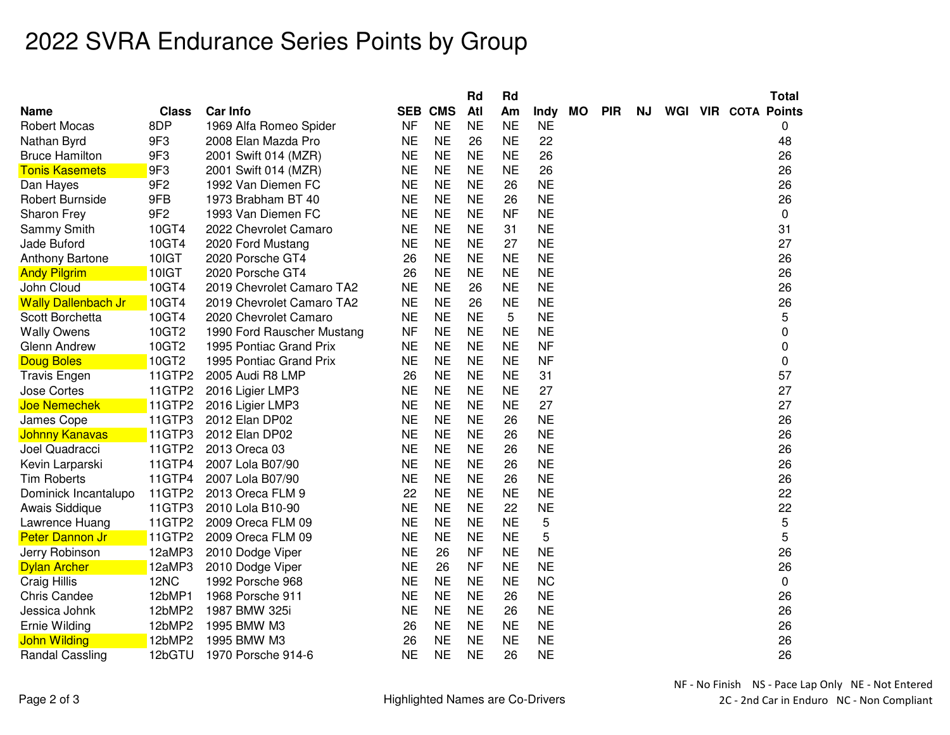## 2022 SVRA Endurance Series Points by Group

|                            |                 |                            |           |                | Rd        | Rd        |           |           |            |     |  | <b>Total</b>        |
|----------------------------|-----------------|----------------------------|-----------|----------------|-----------|-----------|-----------|-----------|------------|-----|--|---------------------|
| Name                       | <b>Class</b>    | <b>Car Info</b>            |           | <b>SEB CMS</b> | Atl       | Am        | Indy      | <b>MO</b> | <b>PIR</b> | NJ. |  | WGI VIR COTA Points |
| <b>Robert Mocas</b>        | 8DP             | 1969 Alfa Romeo Spider     | <b>NF</b> | <b>NE</b>      | <b>NE</b> | <b>NE</b> | <b>NE</b> |           |            |     |  | 0                   |
| Nathan Byrd                | 9F3             | 2008 Elan Mazda Pro        | <b>NE</b> | <b>NE</b>      | 26        | <b>NE</b> | 22        |           |            |     |  | 48                  |
| <b>Bruce Hamilton</b>      | 9F3             | 2001 Swift 014 (MZR)       | <b>NE</b> | <b>NE</b>      | <b>NE</b> | <b>NE</b> | 26        |           |            |     |  | 26                  |
| <b>Tonis Kasemets</b>      | 9F3             | 2001 Swift 014 (MZR)       | <b>NE</b> | <b>NE</b>      | <b>NE</b> | <b>NE</b> | 26        |           |            |     |  | 26                  |
| Dan Hayes                  | 9F <sub>2</sub> | 1992 Van Diemen FC         | <b>NE</b> | <b>NE</b>      | <b>NE</b> | 26        | <b>NE</b> |           |            |     |  | 26                  |
| <b>Robert Burnside</b>     | 9FB             | 1973 Brabham BT 40         | <b>NE</b> | <b>NE</b>      | <b>NE</b> | 26        | <b>NE</b> |           |            |     |  | 26                  |
| Sharon Frey                | 9F <sub>2</sub> | 1993 Van Diemen FC         | <b>NE</b> | <b>NE</b>      | <b>NE</b> | <b>NF</b> | <b>NE</b> |           |            |     |  | 0                   |
| Sammy Smith                | 10GT4           | 2022 Chevrolet Camaro      | <b>NE</b> | <b>NE</b>      | <b>NE</b> | 31        | <b>NE</b> |           |            |     |  | 31                  |
| Jade Buford                | 10GT4           | 2020 Ford Mustang          | <b>NE</b> | <b>NE</b>      | <b>NE</b> | 27        | <b>NE</b> |           |            |     |  | 27                  |
| <b>Anthony Bartone</b>     | 10IGT           | 2020 Porsche GT4           | 26        | <b>NE</b>      | <b>NE</b> | <b>NE</b> | <b>NE</b> |           |            |     |  | 26                  |
| <b>Andy Pilgrim</b>        | 10IGT           | 2020 Porsche GT4           | 26        | <b>NE</b>      | <b>NE</b> | <b>NE</b> | <b>NE</b> |           |            |     |  | 26                  |
| John Cloud                 | 10GT4           | 2019 Chevrolet Camaro TA2  | <b>NE</b> | <b>NE</b>      | 26        | <b>NE</b> | <b>NE</b> |           |            |     |  | 26                  |
| <b>Wally Dallenbach Jr</b> | 10GT4           | 2019 Chevrolet Camaro TA2  | <b>NE</b> | <b>NE</b>      | 26        | <b>NE</b> | <b>NE</b> |           |            |     |  | 26                  |
| Scott Borchetta            | 10GT4           | 2020 Chevrolet Camaro      | <b>NE</b> | <b>NE</b>      | <b>NE</b> | 5         | <b>NE</b> |           |            |     |  | 5                   |
| <b>Wally Owens</b>         | 10GT2           | 1990 Ford Rauscher Mustang | <b>NF</b> | <b>NE</b>      | <b>NE</b> | <b>NE</b> | <b>NE</b> |           |            |     |  | 0                   |
| Glenn Andrew               | 10GT2           | 1995 Pontiac Grand Prix    | <b>NE</b> | <b>NE</b>      | <b>NE</b> | <b>NE</b> | <b>NF</b> |           |            |     |  | 0                   |
| <b>Doug Boles</b>          | 10GT2           | 1995 Pontiac Grand Prix    | <b>NE</b> | <b>NE</b>      | <b>NE</b> | <b>NE</b> | <b>NF</b> |           |            |     |  | 0                   |
| <b>Travis Engen</b>        | 11GTP2          | 2005 Audi R8 LMP           | 26        | <b>NE</b>      | <b>NE</b> | <b>NE</b> | 31        |           |            |     |  | 57                  |
| Jose Cortes                | 11GTP2          | 2016 Ligier LMP3           | <b>NE</b> | <b>NE</b>      | <b>NE</b> | <b>NE</b> | 27        |           |            |     |  | 27                  |
| <b>Joe Nemechek</b>        | 11GTP2          | 2016 Ligier LMP3           | <b>NE</b> | <b>NE</b>      | <b>NE</b> | <b>NE</b> | 27        |           |            |     |  | 27                  |
| James Cope                 | 11GTP3          | 2012 Elan DP02             | <b>NE</b> | <b>NE</b>      | <b>NE</b> | 26        | <b>NE</b> |           |            |     |  | 26                  |
| Johnny Kanavas             | 11GTP3          | 2012 Elan DP02             | <b>NE</b> | <b>NE</b>      | <b>NE</b> | 26        | <b>NE</b> |           |            |     |  | 26                  |
| Joel Quadracci             | 11GTP2          | 2013 Oreca 03              | <b>NE</b> | <b>NE</b>      | <b>NE</b> | 26        | <b>NE</b> |           |            |     |  | 26                  |
| Kevin Larparski            | 11GTP4          | 2007 Lola B07/90           | <b>NE</b> | <b>NE</b>      | <b>NE</b> | 26        | <b>NE</b> |           |            |     |  | 26                  |
| <b>Tim Roberts</b>         | 11GTP4          | 2007 Lola B07/90           | <b>NE</b> | <b>NE</b>      | <b>NE</b> | 26        | <b>NE</b> |           |            |     |  | 26                  |
| Dominick Incantalupo       | 11GTP2          | 2013 Oreca FLM 9           | 22        | <b>NE</b>      | <b>NE</b> | <b>NE</b> | <b>NE</b> |           |            |     |  | 22                  |
| Awais Siddique             | 11GTP3          | 2010 Lola B10-90           | <b>NE</b> | <b>NE</b>      | <b>NE</b> | 22        | <b>NE</b> |           |            |     |  | 22                  |
| Lawrence Huang             | 11GTP2          | 2009 Oreca FLM 09          | <b>NE</b> | <b>NE</b>      | <b>NE</b> | <b>NE</b> | 5         |           |            |     |  | 5                   |
| <b>Peter Dannon Jr</b>     | 11GTP2          | 2009 Oreca FLM 09          | <b>NE</b> | <b>NE</b>      | <b>NE</b> | <b>NE</b> | 5         |           |            |     |  | 5                   |
| Jerry Robinson             | 12aMP3          | 2010 Dodge Viper           | <b>NE</b> | 26             | <b>NF</b> | <b>NE</b> | <b>NE</b> |           |            |     |  | 26                  |
| <b>Dylan Archer</b>        | 12aMP3          | 2010 Dodge Viper           | <b>NE</b> | 26             | <b>NF</b> | <b>NE</b> | <b>NE</b> |           |            |     |  | 26                  |
| Craig Hillis               | 12NC            | 1992 Porsche 968           | <b>NE</b> | <b>NE</b>      | <b>NE</b> | <b>NE</b> | <b>NC</b> |           |            |     |  | $\pmb{0}$           |
| <b>Chris Candee</b>        | 12bMP1          | 1968 Porsche 911           | <b>NE</b> | <b>NE</b>      | <b>NE</b> | 26        | <b>NE</b> |           |            |     |  | 26                  |
| Jessica Johnk              | 12bMP2          | 1987 BMW 325i              | <b>NE</b> | <b>NE</b>      | <b>NE</b> | 26        | <b>NE</b> |           |            |     |  | 26                  |
| Ernie Wilding              | 12bMP2          | 1995 BMW M3                | 26        | <b>NE</b>      | <b>NE</b> | <b>NE</b> | <b>NE</b> |           |            |     |  | 26                  |
| <b>John Wilding</b>        | 12bMP2          | 1995 BMW M3                | 26        | <b>NE</b>      | <b>NE</b> | <b>NE</b> | <b>NE</b> |           |            |     |  | 26                  |
| Randal Cassling            | 12bGTU          | 1970 Porsche 914-6         | <b>NE</b> | <b>NE</b>      | <b>NE</b> | 26        | <b>NE</b> |           |            |     |  | 26                  |